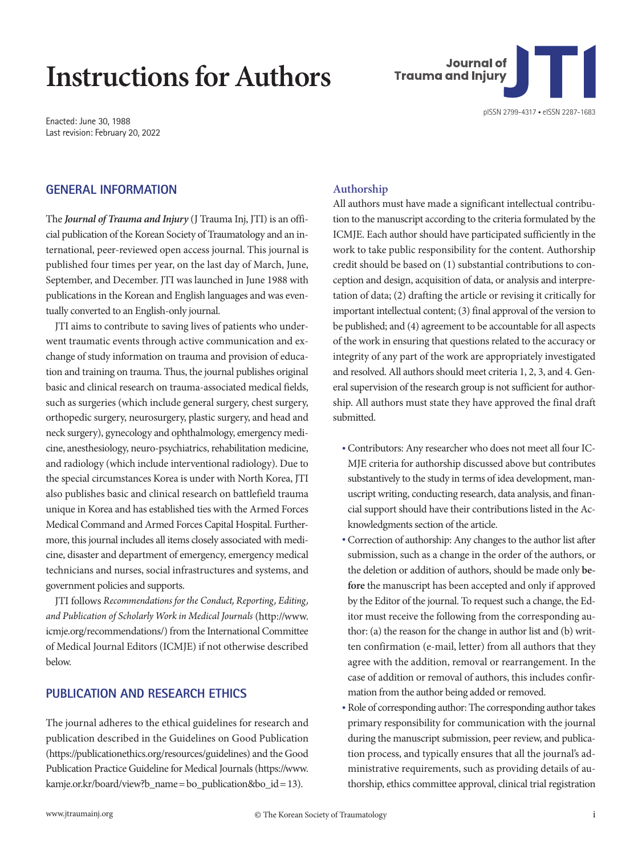## **Instructions for Authors**

Enacted: June 30, 1988 Last revision: February 20, 2022

# **Journal of Trauma and Injury**

### **GENERAL INFORMATION**

The *Journal of Trauma and Injury* (J Trauma Inj, JTI) is an official publication of the Korean Society of Traumatology and an international, peer-reviewed open access journal. This journal is published four times per year, on the last day of March, June, September, and December. JTI was launched in June 1988 with publications in the Korean and English languages and was eventually converted to an English-only journal.

JTI aims to contribute to saving lives of patients who underwent traumatic events through active communication and exchange of study information on trauma and provision of education and training on trauma. Thus, the journal publishes original basic and clinical research on trauma-associated medical fields, such as surgeries (which include general surgery, chest surgery, orthopedic surgery, neurosurgery, plastic surgery, and head and neck surgery), gynecology and ophthalmology, emergency medicine, anesthesiology, neuro-psychiatrics, rehabilitation medicine, and radiology (which include interventional radiology). Due to the special circumstances Korea is under with North Korea, JTI also publishes basic and clinical research on battlefield trauma unique in Korea and has established ties with the Armed Forces Medical Command and Armed Forces Capital Hospital. Furthermore, this journal includes all items closely associated with medicine, disaster and department of emergency, emergency medical technicians and nurses, social infrastructures and systems, and government policies and supports.

JTI follows *Recommendations for the Conduct, Reporting, Editing, and Publication of Scholarly Work in Medical Journals* [\(http://www.](http://www.icmje.org/recommendations/) [icmje.org/recommendations/](http://www.icmje.org/recommendations/)) from the International Committee of Medical Journal Editors (ICMJE) if not otherwise described below.

### **PUBLICATION AND RESEARCH ETHICS**

The journal adheres to the ethical guidelines for research and publication described in the Guidelines on Good Publication ([https://publicationethics.org/resources/guidelines\)](https://publicationethics.org/resources/guidelines) and the Good Publication Practice Guideline for Medical Journals ([https://www.](https://www.kamje.or.kr/board/view?b_name=bo_publication&bo_id=13) [kamje.or.kr/board/view?b\\_name= bo\\_publication&bo\\_id= 13\)](https://www.kamje.or.kr/board/view?b_name=bo_publication&bo_id=13).

### **Authorship**

All authors must have made a significant intellectual contribution to the manuscript according to the criteria formulated by the ICMJE. Each author should have participated sufficiently in the work to take public responsibility for the content. Authorship credit should be based on (1) substantial contributions to conception and design, acquisition of data, or analysis and interpretation of data; (2) drafting the article or revising it critically for important intellectual content; (3) final approval of the version to be published; and (4) agreement to be accountable for all aspects of the work in ensuring that questions related to the accuracy or integrity of any part of the work are appropriately investigated and resolved. All authors should meet criteria 1, 2, 3, and 4. General supervision of the research group is not sufficient for authorship. All authors must state they have approved the final draft submitted.

- Contributors: Any researcher who does not meet all four IC-MJE criteria for authorship discussed above but contributes substantively to the study in terms of idea development, manuscript writing, conducting research, data analysis, and financial support should have their contributions listed in the Acknowledgments section of the article.
- Correction of authorship: Any changes to the author list after submission, such as a change in the order of the authors, or the deletion or addition of authors, should be made only **before** the manuscript has been accepted and only if approved by the Editor of the journal. To request such a change, the Editor must receive the following from the corresponding author: (a) the reason for the change in author list and (b) written confirmation (e-mail, letter) from all authors that they agree with the addition, removal or rearrangement. In the case of addition or removal of authors, this includes confirmation from the author being added or removed.
- Role of corresponding author: The corresponding author takes primary responsibility for communication with the journal during the manuscript submission, peer review, and publication process, and typically ensures that all the journal's administrative requirements, such as providing details of authorship, ethics committee approval, clinical trial registration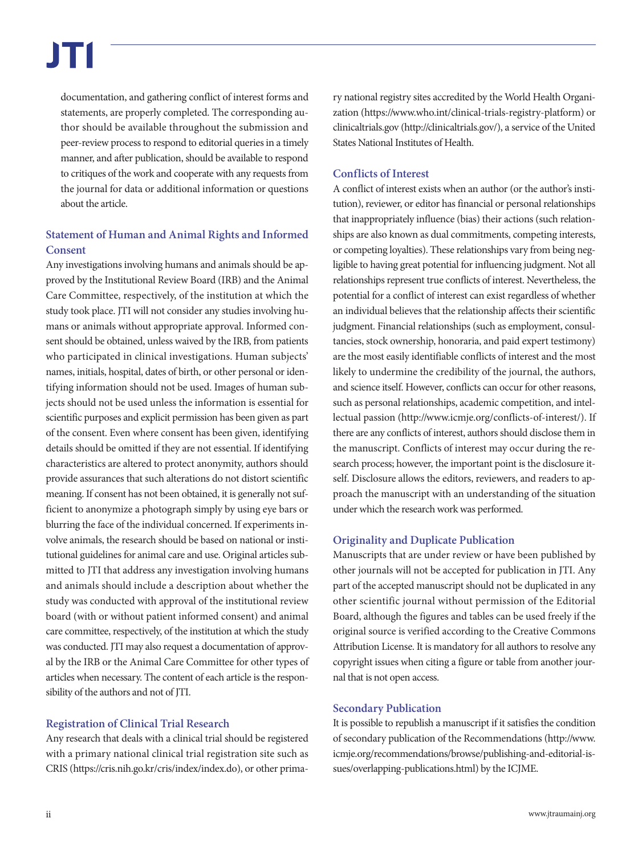documentation, and gathering conflict of interest forms and statements, are properly completed. The corresponding author should be available throughout the submission and peer-review process to respond to editorial queries in a timely manner, and after publication, should be available to respond to critiques of the work and cooperate with any requests from the journal for data or additional information or questions about the article.

### **Statement of Human and Animal Rights and Informed Consent**

Any investigations involving humans and animals should be approved by the Institutional Review Board (IRB) and the Animal Care Committee, respectively, of the institution at which the study took place. JTI will not consider any studies involving humans or animals without appropriate approval. Informed consent should be obtained, unless waived by the IRB, from patients who participated in clinical investigations. Human subjects' names, initials, hospital, dates of birth, or other personal or identifying information should not be used. Images of human subjects should not be used unless the information is essential for scientific purposes and explicit permission has been given as part of the consent. Even where consent has been given, identifying details should be omitted if they are not essential. If identifying characteristics are altered to protect anonymity, authors should provide assurances that such alterations do not distort scientific meaning. If consent has not been obtained, it is generally not sufficient to anonymize a photograph simply by using eye bars or blurring the face of the individual concerned. If experiments involve animals, the research should be based on national or institutional guidelines for animal care and use. Original articles submitted to JTI that address any investigation involving humans and animals should include a description about whether the study was conducted with approval of the institutional review board (with or without patient informed consent) and animal care committee, respectively, of the institution at which the study was conducted. JTI may also request a documentation of approval by the IRB or the Animal Care Committee for other types of articles when necessary. The content of each article is the responsibility of the authors and not of JTI.

### **Registration of Clinical Trial Research**

Any research that deals with a clinical trial should be registered with a primary national clinical trial registration site such as CRIS [\(https://cris.nih.go.kr/cris/index/index.do\)](https://cris.nih.go.kr/cris/index/index.do), or other prima-

ry national registry sites accredited by the World Health Organization [\(https://www.who.int/clinical-trials-registry-platform\)](https://www.who.int/clinical-trials-registry-platform) or clinicaltrials.gov (http://clinicaltrials.gov/), a service of the United States National Institutes of Health.

### **Conflicts of Interest**

A conflict of interest exists when an author (or the author's institution), reviewer, or editor has financial or personal relationships that inappropriately influence (bias) their actions (such relationships are also known as dual commitments, competing interests, or competing loyalties). These relationships vary from being negligible to having great potential for influencing judgment. Not all relationships represent true conflicts of interest. Nevertheless, the potential for a conflict of interest can exist regardless of whether an individual believes that the relationship affects their scientific judgment. Financial relationships (such as employment, consultancies, stock ownership, honoraria, and paid expert testimony) are the most easily identifiable conflicts of interest and the most likely to undermine the credibility of the journal, the authors, and science itself. However, conflicts can occur for other reasons, such as personal relationships, academic competition, and intellectual passion ([http://www.icmje.org/conflicts-of-interest/\)](http://www.icmje.org/conflicts-of-interest/). If there are any conflicts of interest, authors should disclose them in the manuscript. Conflicts of interest may occur during the research process; however, the important point is the disclosure itself. Disclosure allows the editors, reviewers, and readers to approach the manuscript with an understanding of the situation under which the research work was performed.

### **Originality and Duplicate Publication**

Manuscripts that are under review or have been published by other journals will not be accepted for publication in JTI. Any part of the accepted manuscript should not be duplicated in any other scientific journal without permission of the Editorial Board, although the figures and tables can be used freely if the original source is verified according to the Creative Commons Attribution License. It is mandatory for all authors to resolve any copyright issues when citing a figure or table from another journal that is not open access.

### **Secondary Publication**

It is possible to republish a manuscript if it satisfies the condition of secondary publication of the Recommendations [\(http://www.](http://www.icmje.org/recommendations/browse/publishing-and-editorial-issues/overlapping-publications.html) [icmje.org/recommendations/browse/publishing-and-editorial-is](http://www.icmje.org/recommendations/browse/publishing-and-editorial-issues/overlapping-publications.html)[sues/overlapping-publications.html\)](http://www.icmje.org/recommendations/browse/publishing-and-editorial-issues/overlapping-publications.html) by the ICJME.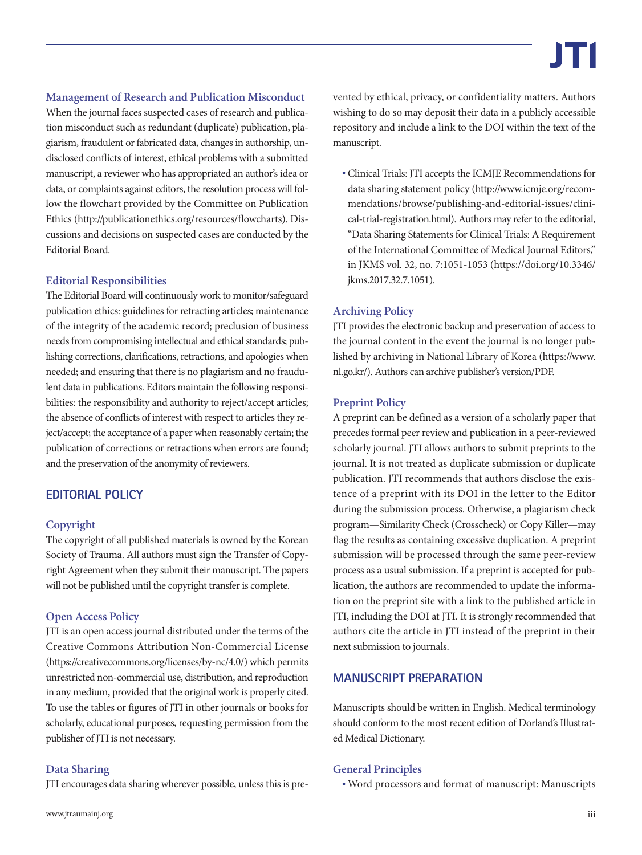**Management of Research and Publication Misconduct** When the journal faces suspected cases of research and publication misconduct such as redundant (duplicate) publication, plagiarism, fraudulent or fabricated data, changes in authorship, undisclosed conflicts of interest, ethical problems with a submitted manuscript, a reviewer who has appropriated an author's idea or data, or complaints against editors, the resolution process will follow the flowchart provided by the Committee on Publication Ethics [\(http://publicationethics.org/resources/flowcharts\)](http://publicationethics.org/resources/flowcharts). Discussions and decisions on suspected cases are conducted by the Editorial Board.

### **Editorial Responsibilities**

The Editorial Board will continuously work to monitor/safeguard publication ethics: guidelines for retracting articles; maintenance of the integrity of the academic record; preclusion of business needs from compromising intellectual and ethical standards; publishing corrections, clarifications, retractions, and apologies when needed; and ensuring that there is no plagiarism and no fraudulent data in publications. Editors maintain the following responsibilities: the responsibility and authority to reject/accept articles; the absence of conflicts of interest with respect to articles they reject/accept; the acceptance of a paper when reasonably certain; the publication of corrections or retractions when errors are found; and the preservation of the anonymity of reviewers.

### **EDITORIAL POLICY**

### **Copyright**

The copyright of all published materials is owned by the Korean Society of Trauma. All authors must sign the Transfer of Copyright Agreement when they submit their manuscript. The papers will not be published until the copyright transfer is complete.

### **Open Access Policy**

JTI is an open access journal distributed under the terms of the Creative Commons Attribution Non-Commercial License (<https://creativecommons.org/licenses/by-nc/4.0/>) which permits unrestricted non-commercial use, distribution, and reproduction in any medium, provided that the original work is properly cited. To use the tables or figures of JTI in other journals or books for scholarly, educational purposes, requesting permission from the publisher of JTI is not necessary.

### **Data Sharing**

JTI encourages data sharing wherever possible, unless this is pre-

vented by ethical, privacy, or confidentiality matters. Authors wishing to do so may deposit their data in a publicly accessible repository and include a link to the DOI within the text of the manuscript.

• Clinical Trials: JTI accepts the ICMJE Recommendations for data sharing statement policy [\(http://www.icmje.org/recom](http://www.icmje.org/recommendations/browse/publishing-and-editorial-issues/clinical-trial-registration.html)[mendations/browse/publishing-and-editorial-issues/clini](http://www.icmje.org/recommendations/browse/publishing-and-editorial-issues/clinical-trial-registration.html)[cal-trial-registration.html](http://www.icmje.org/recommendations/browse/publishing-and-editorial-issues/clinical-trial-registration.html)). Authors may refer to the editorial, "Data Sharing Statements for Clinical Trials: A Requirement of the International Committee of Medical Journal Editors," in JKMS vol. 32, no. 7:1051-1053 [\(https://doi.org/10.3346/](https://doi.org/10.3346/jkms.2017.32.7.1051) [jkms.2017.32.7.1051](https://doi.org/10.3346/jkms.2017.32.7.1051)).

### **Archiving Policy**

JTI provides the electronic backup and preservation of access to the journal content in the event the journal is no longer published by archiving in National Library of Korea ([https://www.](https://www.nl.go.kr) [nl.go.kr/\)](https://www.nl.go.kr). Authors can archive publisher's version/PDF.

### **Preprint Policy**

A preprint can be defined as a version of a scholarly paper that precedes formal peer review and publication in a peer-reviewed scholarly journal. JTI allows authors to submit preprints to the journal. It is not treated as duplicate submission or duplicate publication. JTI recommends that authors disclose the existence of a preprint with its DOI in the letter to the Editor during the submission process. Otherwise, a plagiarism check program—Similarity Check (Crosscheck) or Copy Killer—may flag the results as containing excessive duplication. A preprint submission will be processed through the same peer-review process as a usual submission. If a preprint is accepted for publication, the authors are recommended to update the information on the preprint site with a link to the published article in JTI, including the DOI at JTI. It is strongly recommended that authors cite the article in JTI instead of the preprint in their next submission to journals.

### **MANUSCRIPT PREPARATION**

Manuscripts should be written in English. Medical terminology should conform to the most recent edition of Dorland's Illustrated Medical Dictionary.

### **General Principles**

• Word processors and format of manuscript: Manuscripts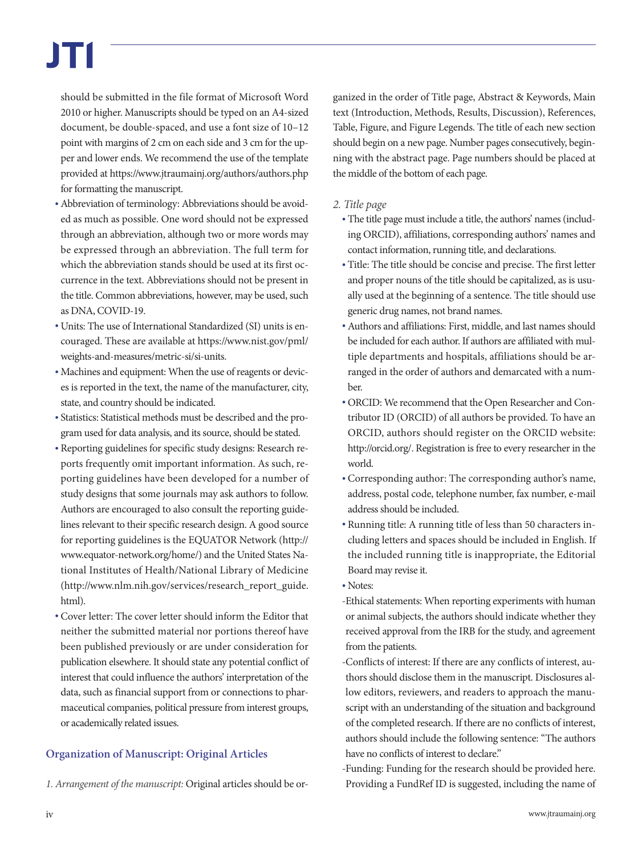should be submitted in the file format of Microsoft Word 2010 or higher. Manuscripts should be typed on an A4-sized document, be double-spaced, and use a font size of 10–12 point with margins of 2 cm on each side and 3 cm for the upper and lower ends. We recommend the use of the template provided at [https://www.jtraumainj.org/authors/authors.php](https://www.jtraumainj.org/authors/authors.php ) for formatting the manuscript.

- •Abbreviation of terminology: Abbreviations should be avoided as much as possible. One word should not be expressed through an abbreviation, although two or more words may be expressed through an abbreviation. The full term for which the abbreviation stands should be used at its first occurrence in the text. Abbreviations should not be present in the title. Common abbreviations, however, may be used, such as DNA, COVID-19.
- Units: The use of International Standardized (SI) units is encouraged. These are available at [https://www.nist.gov/pml/](https://www.nist.gov/pml/weights-and-measures/metric-si/si-units) [weights-and-measures/metric-si/si-units](https://www.nist.gov/pml/weights-and-measures/metric-si/si-units).
- Machines and equipment: When the use of reagents or devices is reported in the text, the name of the manufacturer, city, state, and country should be indicated.
- Statistics: Statistical methods must be described and the program used for data analysis, and its source, should be stated.
- Reporting guidelines for specific study designs: Research reports frequently omit important information. As such, reporting guidelines have been developed for a number of study designs that some journals may ask authors to follow. Authors are encouraged to also consult the reporting guidelines relevant to their specific research design. A good source for reporting guidelines is the EQUATOR Network [\(http://](http://www.equator-network.org/home/) [www.equator-network.org/home/](http://www.equator-network.org/home/)) and the United States National Institutes of Health/National Library of Medicine ([http://www.nlm.nih.gov/services/research\\_report\\_guide.](http://www.nlm.nih.gov/services/research_report_guide.html) [html](http://www.nlm.nih.gov/services/research_report_guide.html)).
- Cover letter: The cover letter should inform the Editor that neither the submitted material nor portions thereof have been published previously or are under consideration for publication elsewhere. It should state any potential conflict of interest that could influence the authors' interpretation of the data, such as financial support from or connections to pharmaceutical companies, political pressure from interest groups, or academically related issues.

### **Organization of Manuscript: Original Articles**

*1. Arrangement of the manuscript:* Original articles should be or-

ganized in the order of Title page, Abstract & Keywords, Main text (Introduction, Methods, Results, Discussion), References, Table, Figure, and Figure Legends. The title of each new section should begin on a new page. Number pages consecutively, beginning with the abstract page. Page numbers should be placed at the middle of the bottom of each page.

- *2. Title page*
	- The title page must include a title, the authors' names (including ORCID), affiliations, corresponding authors' names and contact information, running title, and declarations.
	- Title: The title should be concise and precise. The first letter and proper nouns of the title should be capitalized, as is usually used at the beginning of a sentence. The title should use generic drug names, not brand names.
	- •Authors and affiliations: First, middle, and last names should be included for each author. If authors are affiliated with multiple departments and hospitals, affiliations should be arranged in the order of authors and demarcated with a number.
	- ORCID: We recommend that the Open Researcher and Contributor ID (ORCID) of all authors be provided. To have an ORCID, authors should register on the ORCID website: [http://orcid.org/.](http://orcid.org) Registration is free to every researcher in the world.
	- Corresponding author: The corresponding author's name, address, postal code, telephone number, fax number, e-mail address should be included.
	- Running title: A running title of less than 50 characters including letters and spaces should be included in English. If the included running title is inappropriate, the Editorial Board may revise it.
	- Notes:
	- -Ethical statements: When reporting experiments with human or animal subjects, the authors should indicate whether they received approval from the IRB for the study, and agreement from the patients.

-Conflicts of interest: If there are any conflicts of interest, authors should disclose them in the manuscript. Disclosures allow editors, reviewers, and readers to approach the manuscript with an understanding of the situation and background of the completed research. If there are no conflicts of interest, authors should include the following sentence: "The authors have no conflicts of interest to declare."

-Funding: Funding for the research should be provided here. Providing a FundRef ID is suggested, including the name of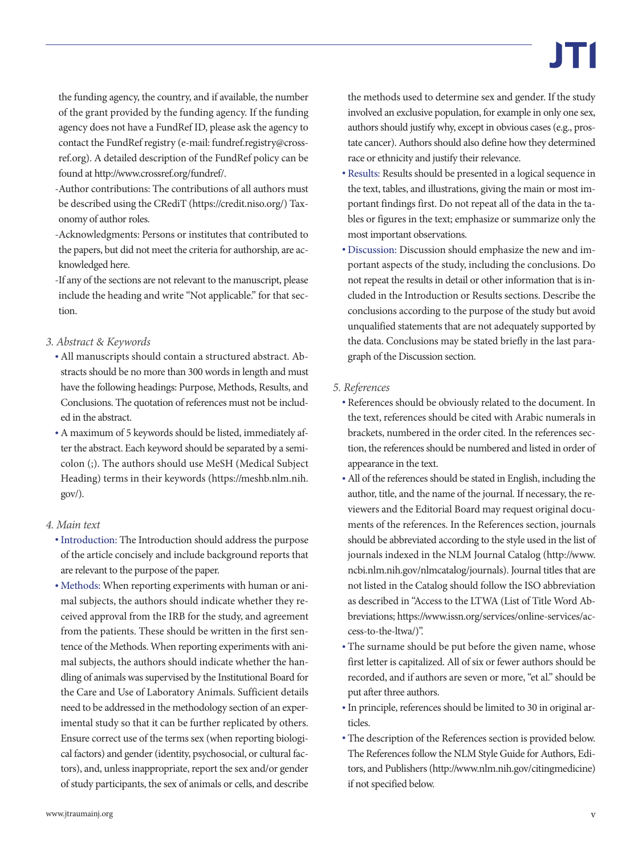the funding agency, the country, and if available, the number of the grant provided by the funding agency. If the funding agency does not have a FundRef ID, please ask the agency to contact the FundRef registry (e-mail: [fundref.registry@cross](mailto:fundref.registry@crossref.org)[ref.org\)](mailto:fundref.registry@crossref.org). A detailed description of the FundRef policy can be found at [http://www.crossref.org/fundref/.](http://www.crossref.org/fundref/)

- -Author contributions: The contributions of all authors must be described using the CRediT ([https://credit.niso.org/](https://credit.niso.org)) Taxonomy of author roles.
- -Acknowledgments: Persons or institutes that contributed to the papers, but did not meet the criteria for authorship, are acknowledged here.
- -If any of the sections are not relevant to the manuscript, please include the heading and write "Not applicable." for that section.

### *3. Abstract & Keywords*

- •All manuscripts should contain a structured abstract. Abstracts should be no more than 300 words in length and must have the following headings: Purpose, Methods, Results, and Conclusions. The quotation of references must not be included in the abstract.
- •A maximum of 5 keywords should be listed, immediately after the abstract. Each keyword should be separated by a semicolon (;). The authors should use MeSH (Medical Subject Heading) terms in their keywords ([https://meshb.nlm.nih.](https://meshb.nlm.nih.gov) [gov/\)](https://meshb.nlm.nih.gov).

### *4. Main text*

- •Introduction: The Introduction should address the purpose of the article concisely and include background reports that are relevant to the purpose of the paper.
- Methods: When reporting experiments with human or animal subjects, the authors should indicate whether they received approval from the IRB for the study, and agreement from the patients. These should be written in the first sentence of the Methods. When reporting experiments with animal subjects, the authors should indicate whether the handling of animals was supervised by the Institutional Board for the Care and Use of Laboratory Animals. Sufficient details need to be addressed in the methodology section of an experimental study so that it can be further replicated by others. Ensure correct use of the terms sex (when reporting biological factors) and gender (identity, psychosocial, or cultural factors), and, unless inappropriate, report the sex and/or gender of study participants, the sex of animals or cells, and describe

the methods used to determine sex and gender. If the study involved an exclusive population, for example in only one sex, authors should justify why, except in obvious cases (e.g., prostate cancer). Authors should also define how they determined race or ethnicity and justify their relevance.

- Results: Results should be presented in a logical sequence in the text, tables, and illustrations, giving the main or most important findings first. Do not repeat all of the data in the tables or figures in the text; emphasize or summarize only the most important observations.
- Discussion: Discussion should emphasize the new and important aspects of the study, including the conclusions. Do not repeat the results in detail or other information that is included in the Introduction or Results sections. Describe the conclusions according to the purpose of the study but avoid unqualified statements that are not adequately supported by the data. Conclusions may be stated briefly in the last paragraph of the Discussion section.

### *5. References*

- References should be obviously related to the document. In the text, references should be cited with Arabic numerals in brackets, numbered in the order cited. In the references section, the references should be numbered and listed in order of appearance in the text.
- •All of the references should be stated in English, including the author, title, and the name of the journal. If necessary, the reviewers and the Editorial Board may request original documents of the references. In the References section, journals should be abbreviated according to the style used in the list of journals indexed in the NLM Journal Catalog [\(http://www.](http://www.ncbi.nlm.nih.gov/nlmcatalog/journals) [ncbi.nlm.nih.gov/nlmcatalog/journals\)](http://www.ncbi.nlm.nih.gov/nlmcatalog/journals). Journal titles that are not listed in the Catalog should follow the ISO abbreviation as described in "Access to the LTWA (List of Title Word Abbreviations; [https://www.issn.org/services/online-services/ac](https://www.issn.org/services/online-services/access-to-the-ltwa/)[cess-to-the-ltwa/](https://www.issn.org/services/online-services/access-to-the-ltwa/))".
- The surname should be put before the given name, whose first letter is capitalized. All of six or fewer authors should be recorded, and if authors are seven or more, "et al." should be put after three authors.
- •In principle, references should be limited to 30 in original articles.
- The description of the References section is provided below. The References follow the NLM Style Guide for Authors, Editors, and Publishers [\(http://www.nlm.nih.gov/citingmedicine](http://www.nlm.nih.gov/citingmedicine)) if not specified below.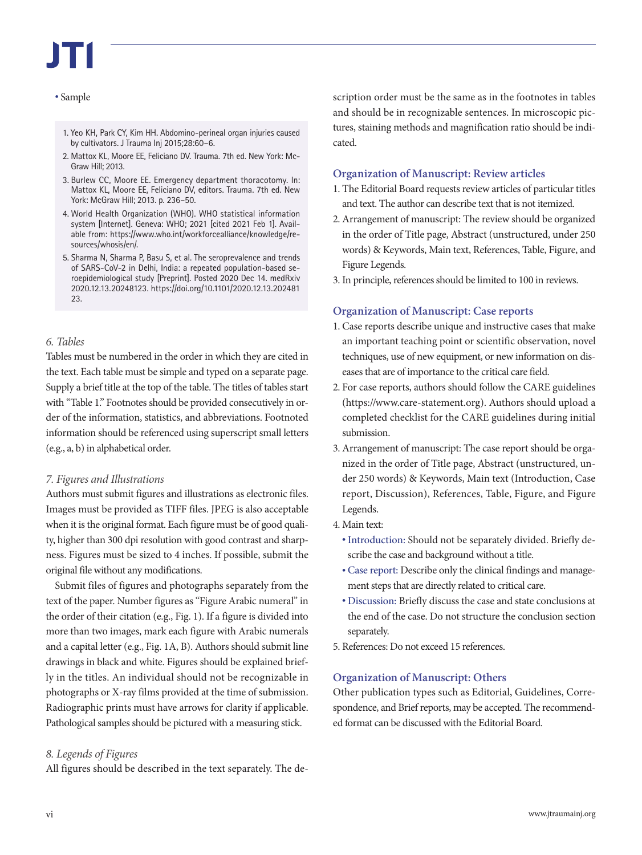### • Sample

- 1. Yeo KH, Park CY, Kim HH. Abdomino-perineal organ injuries caused by cultivators. J Trauma Inj 2015;28:60–6.
- 2. Mattox KL, Moore EE, Feliciano DV. Trauma. 7th ed. New York: Mc-Graw Hill; 2013.
- 3. Burlew CC, Moore EE. Emergency department thoracotomy. In: Mattox KL, Moore EE, Feliciano DV, editors. Trauma. 7th ed. New York: McGraw Hill; 2013. p. 236–50.
- 4. World Health Organization (WHO). WHO statistical information system [Internet]. Geneva: WHO; 2021 [cited 2021 Feb 1]. Available from: [https://www.who.int/workforcealliance/knowledge/re](https://www.who.int/workforcealliance/knowledge/resources/whosis/en)[sources/whosis/en/](https://www.who.int/workforcealliance/knowledge/resources/whosis/en).
- 5. Sharma N, Sharma P, Basu S, et al. The seroprevalence and trends of SARS-CoV-2 in Delhi, India: a repeated population-based seroepidemiological study [Preprint]. Posted 2020 Dec 14. medRxiv 2020.12.13.20248123. [https://doi.org/10.1101/2020.12.13.202481](https://doi.org/10.1101/2020.12.13.20248123) [23.](https://doi.org/10.1101/2020.12.13.20248123)

### *6. Tables*

Tables must be numbered in the order in which they are cited in the text. Each table must be simple and typed on a separate page. Supply a brief title at the top of the table. The titles of tables start with "Table 1." Footnotes should be provided consecutively in order of the information, statistics, and abbreviations. Footnoted information should be referenced using superscript small letters (e.g., a, b) in alphabetical order.

### *7. Figures and Illustrations*

Authors must submit figures and illustrations as electronic files. Images must be provided as TIFF files. JPEG is also acceptable when it is the original format. Each figure must be of good quality, higher than 300 dpi resolution with good contrast and sharpness. Figures must be sized to 4 inches. If possible, submit the original file without any modifications.

Submit files of figures and photographs separately from the text of the paper. Number figures as "Figure Arabic numeral" in the order of their citation (e.g., Fig. 1). If a figure is divided into more than two images, mark each figure with Arabic numerals and a capital letter (e.g., Fig. 1A, B). Authors should submit line drawings in black and white. Figures should be explained briefly in the titles. An individual should not be recognizable in photographs or X-ray films provided at the time of submission. Radiographic prints must have arrows for clarity if applicable. Pathological samples should be pictured with a measuring stick.

### *8. Legends of Figures*

All figures should be described in the text separately. The de-

scription order must be the same as in the footnotes in tables and should be in recognizable sentences. In microscopic pictures, staining methods and magnification ratio should be indicated.

### **Organization of Manuscript: Review articles**

- 1. The Editorial Board requests review articles of particular titles and text. The author can describe text that is not itemized.
- 2. Arrangement of manuscript: The review should be organized in the order of Title page, Abstract (unstructured, under 250 words) & Keywords, Main text, References, Table, Figure, and Figure Legends.
- 3. In principle, references should be limited to 100 in reviews.

### **Organization of Manuscript: Case reports**

- 1. Case reports describe unique and instructive cases that make an important teaching point or scientific observation, novel techniques, use of new equipment, or new information on diseases that are of importance to the critical care field.
- 2. For case reports, authors should follow the CARE guidelines ([https://www.care-statement.org\)](https://www.care-statement.org). Authors should upload a completed checklist for the CARE guidelines during initial submission.
- 3. Arrangement of manuscript: The case report should be organized in the order of Title page, Abstract (unstructured, under 250 words) & Keywords, Main text (Introduction, Case report, Discussion), References, Table, Figure, and Figure Legends.
- 4. Main text:
	- •Introduction: Should not be separately divided. Briefly describe the case and background without a title.
	- Case report: Describe only the clinical findings and management steps that are directly related to critical care.
	- Discussion: Briefly discuss the case and state conclusions at the end of the case. Do not structure the conclusion section separately.
- 5. References: Do not exceed 15 references.

### **Organization of Manuscript: Others**

Other publication types such as Editorial, Guidelines, Correspondence, and Brief reports, may be accepted. The recommended format can be discussed with the Editorial Board.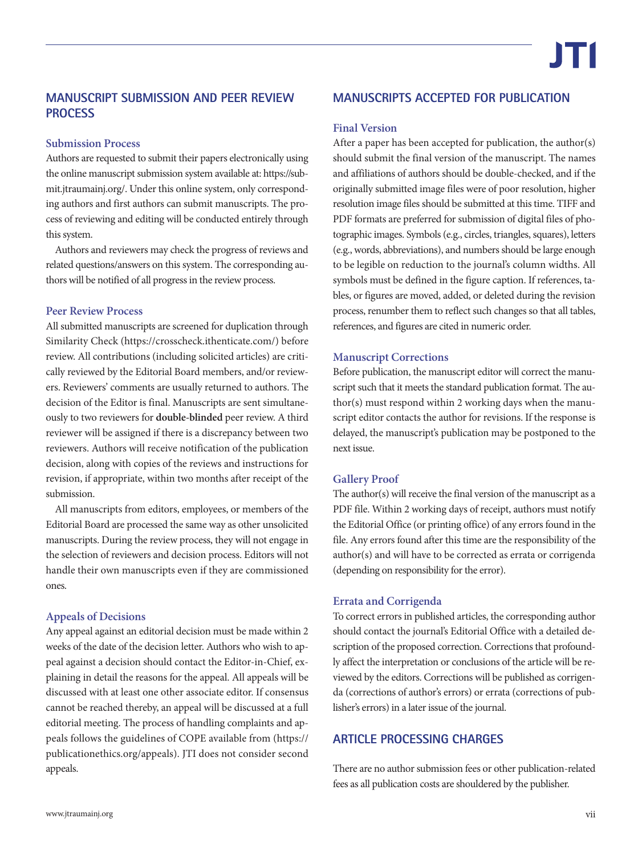### **MANUSCRIPT SUBMISSION AND PEER REVIEW PROCESS**

### **Submission Process**

Authors are requested to submit their papers electronically using the online manuscript submission system available at: [https://sub](https://submit.jtraumainj.org/)[mit.jtraumainj.org/.](https://submit.jtraumainj.org/) Under this online system, only corresponding authors and first authors can submit manuscripts. The process of reviewing and editing will be conducted entirely through this system.

Authors and reviewers may check the progress of reviews and related questions/answers on this system. The corresponding authors will be notified of all progress in the review process.

### **Peer Review Process**

All submitted manuscripts are screened for duplication through Similarity Check [\(https://crosscheck.ithenticate.com/](https://crosscheck.ithenticate.com/)) before review. All contributions (including solicited articles) are critically reviewed by the Editorial Board members, and/or reviewers. Reviewers' comments are usually returned to authors. The decision of the Editor is final. Manuscripts are sent simultaneously to two reviewers for **double-blinded** peer review. A third reviewer will be assigned if there is a discrepancy between two reviewers. Authors will receive notification of the publication decision, along with copies of the reviews and instructions for revision, if appropriate, within two months after receipt of the submission.

All manuscripts from editors, employees, or members of the Editorial Board are processed the same way as other unsolicited manuscripts. During the review process, they will not engage in the selection of reviewers and decision process. Editors will not handle their own manuscripts even if they are commissioned ones.

### **Appeals of Decisions**

Any appeal against an editorial decision must be made within 2 weeks of the date of the decision letter. Authors who wish to appeal against a decision should contact the Editor-in-Chief, explaining in detail the reasons for the appeal. All appeals will be discussed with at least one other associate editor. If consensus cannot be reached thereby, an appeal will be discussed at a full editorial meeting. The process of handling complaints and appeals follows the guidelines of COPE available from ([https://](https://publicationethics.org/appeals) [publicationethics.org/appeals\)](https://publicationethics.org/appeals). JTI does not consider second appeals.

### **MANUSCRIPTS ACCEPTED FOR PUBLICATION**

### **Final Version**

After a paper has been accepted for publication, the author(s) should submit the final version of the manuscript. The names and affiliations of authors should be double-checked, and if the originally submitted image files were of poor resolution, higher resolution image files should be submitted at this time. TIFF and PDF formats are preferred for submission of digital files of photographic images. Symbols (e.g., circles, triangles, squares), letters (e.g., words, abbreviations), and numbers should be large enough to be legible on reduction to the journal's column widths. All symbols must be defined in the figure caption. If references, tables, or figures are moved, added, or deleted during the revision process, renumber them to reflect such changes so that all tables, references, and figures are cited in numeric order.

### **Manuscript Corrections**

Before publication, the manuscript editor will correct the manuscript such that it meets the standard publication format. The author(s) must respond within 2 working days when the manuscript editor contacts the author for revisions. If the response is delayed, the manuscript's publication may be postponed to the next issue.

### **Gallery Proof**

The author(s) will receive the final version of the manuscript as a PDF file. Within 2 working days of receipt, authors must notify the Editorial Office (or printing office) of any errors found in the file. Any errors found after this time are the responsibility of the author(s) and will have to be corrected as errata or corrigenda (depending on responsibility for the error).

### **Errata and Corrigenda**

To correct errors in published articles, the corresponding author should contact the journal's Editorial Office with a detailed description of the proposed correction. Corrections that profoundly affect the interpretation or conclusions of the article will be reviewed by the editors. Corrections will be published as corrigenda (corrections of author's errors) or errata (corrections of publisher's errors) in a later issue of the journal.

### **ARTICLE PROCESSING CHARGES**

There are no author submission fees or other publication-related fees as all publication costs are shouldered by the publisher.